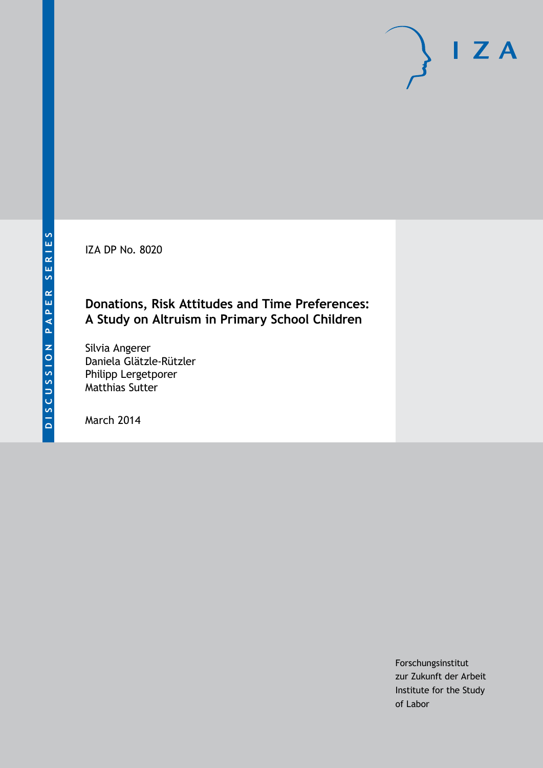IZA DP No. 8020

# **Donations, Risk Attitudes and Time Preferences: A Study on Altruism in Primary School Children**

Silvia Angerer Daniela Glätzle-Rützler Philipp Lergetporer Matthias Sutter

March 2014

Forschungsinstitut zur Zukunft der Arbeit Institute for the Study of Labor

 $I Z A$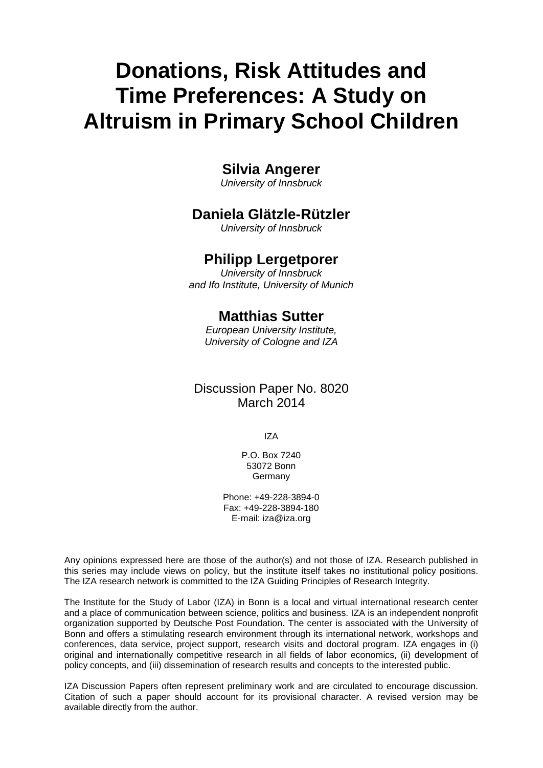# **Donations, Risk Attitudes and Time Preferences: A Study on Altruism in Primary School Children**

# **Silvia Angerer**

*University of Innsbruck*

# **Daniela Glätzle-Rützler**

*University of Innsbruck*

# **Philipp Lergetporer**

*University of Innsbruck and Ifo Institute, University of Munich*

# **Matthias Sutter**

*European University Institute, University of Cologne and IZA*

# Discussion Paper No. 8020 March 2014

IZA

P.O. Box 7240 53072 Bonn Germany

Phone: +49-228-3894-0 Fax: +49-228-3894-180 E-mail: [iza@iza.org](mailto:iza@iza.org)

Any opinions expressed here are those of the author(s) and not those of IZA. Research published in this series may include views on policy, but the institute itself takes no institutional policy positions. The IZA research network is committed to the IZA Guiding Principles of Research Integrity.

The Institute for the Study of Labor (IZA) in Bonn is a local and virtual international research center and a place of communication between science, politics and business. IZA is an independent nonprofit organization supported by Deutsche Post Foundation. The center is associated with the University of Bonn and offers a stimulating research environment through its international network, workshops and conferences, data service, project support, research visits and doctoral program. IZA engages in (i) original and internationally competitive research in all fields of labor economics, (ii) development of policy concepts, and (iii) dissemination of research results and concepts to the interested public.

<span id="page-1-0"></span>IZA Discussion Papers often represent preliminary work and are circulated to encourage discussion. Citation of such a paper should account for its provisional character. A revised version may be available directly from the author.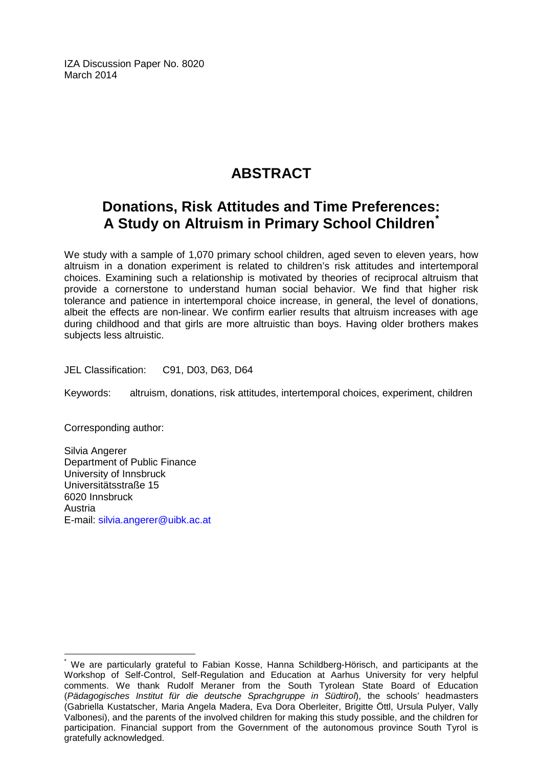IZA Discussion Paper No. 8020 March 2014

# **ABSTRACT**

# **Donations, Risk Attitudes and Time Preferences: A Study on Altruism in Primary School Children[\\*](#page-1-0)**

We study with a sample of 1,070 primary school children, aged seven to eleven years, how altruism in a donation experiment is related to children's risk attitudes and intertemporal choices. Examining such a relationship is motivated by theories of reciprocal altruism that provide a cornerstone to understand human social behavior. We find that higher risk tolerance and patience in intertemporal choice increase, in general, the level of donations, albeit the effects are non-linear. We confirm earlier results that altruism increases with age during childhood and that girls are more altruistic than boys. Having older brothers makes subjects less altruistic.

JEL Classification: C91, D03, D63, D64

Keywords: altruism, donations, risk attitudes, intertemporal choices, experiment, children

Corresponding author:

Silvia Angerer Department of Public Finance University of Innsbruck Universitätsstraße 15 6020 Innsbruck Austria E-mail: [silvia.angerer@uibk.ac.at](mailto:silvia.angerer@uibk.ac.at)

We are particularly grateful to Fabian Kosse, Hanna Schildberg-Hörisch, and participants at the Workshop of Self-Control, Self-Regulation and Education at Aarhus University for very helpful comments. We thank Rudolf Meraner from the South Tyrolean State Board of Education (*Pädagogisches Institut für die deutsche Sprachgruppe in Südtirol*), the schools' headmasters (Gabriella Kustatscher, Maria Angela Madera, Eva Dora Oberleiter, Brigitte Öttl, Ursula Pulyer, Vally Valbonesi), and the parents of the involved children for making this study possible, and the children for participation. Financial support from the Government of the autonomous province South Tyrol is gratefully acknowledged.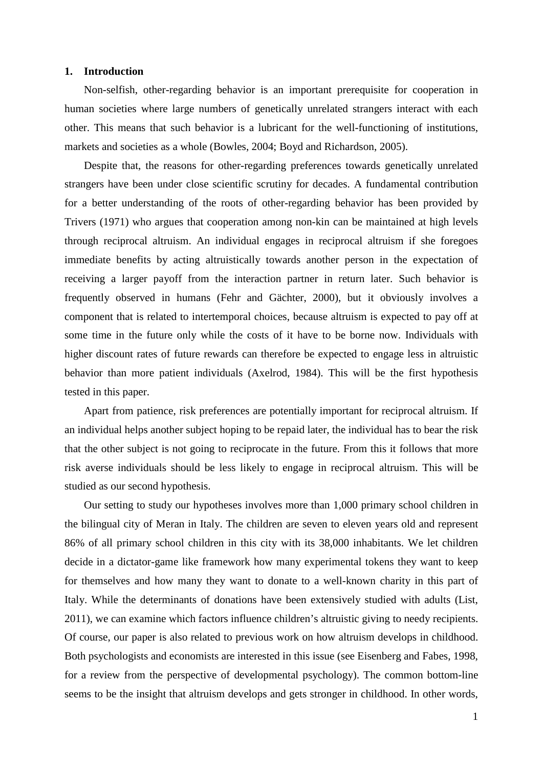### **1. Introduction**

Non-selfish, other-regarding behavior is an important prerequisite for cooperation in human societies where large numbers of genetically unrelated strangers interact with each other. This means that such behavior is a lubricant for the well-functioning of institutions, markets and societies as a whole (Bowles, 2004; Boyd and Richardson, 2005).

Despite that, the reasons for other-regarding preferences towards genetically unrelated strangers have been under close scientific scrutiny for decades. A fundamental contribution for a better understanding of the roots of other-regarding behavior has been provided by Trivers (1971) who argues that cooperation among non-kin can be maintained at high levels through reciprocal altruism. An individual engages in reciprocal altruism if she foregoes immediate benefits by acting altruistically towards another person in the expectation of receiving a larger payoff from the interaction partner in return later. Such behavior is frequently observed in humans (Fehr and Gächter, 2000), but it obviously involves a component that is related to intertemporal choices, because altruism is expected to pay off at some time in the future only while the costs of it have to be borne now. Individuals with higher discount rates of future rewards can therefore be expected to engage less in altruistic behavior than more patient individuals (Axelrod, 1984). This will be the first hypothesis tested in this paper.

Apart from patience, risk preferences are potentially important for reciprocal altruism. If an individual helps another subject hoping to be repaid later, the individual has to bear the risk that the other subject is not going to reciprocate in the future. From this it follows that more risk averse individuals should be less likely to engage in reciprocal altruism. This will be studied as our second hypothesis.

Our setting to study our hypotheses involves more than 1,000 primary school children in the bilingual city of Meran in Italy. The children are seven to eleven years old and represent 86% of all primary school children in this city with its 38,000 inhabitants. We let children decide in a dictator-game like framework how many experimental tokens they want to keep for themselves and how many they want to donate to a well-known charity in this part of Italy. While the determinants of donations have been extensively studied with adults (List, 2011), we can examine which factors influence children's altruistic giving to needy recipients. Of course, our paper is also related to previous work on how altruism develops in childhood. Both psychologists and economists are interested in this issue (see Eisenberg and Fabes, 1998, for a review from the perspective of developmental psychology). The common bottom-line seems to be the insight that altruism develops and gets stronger in childhood. In other words,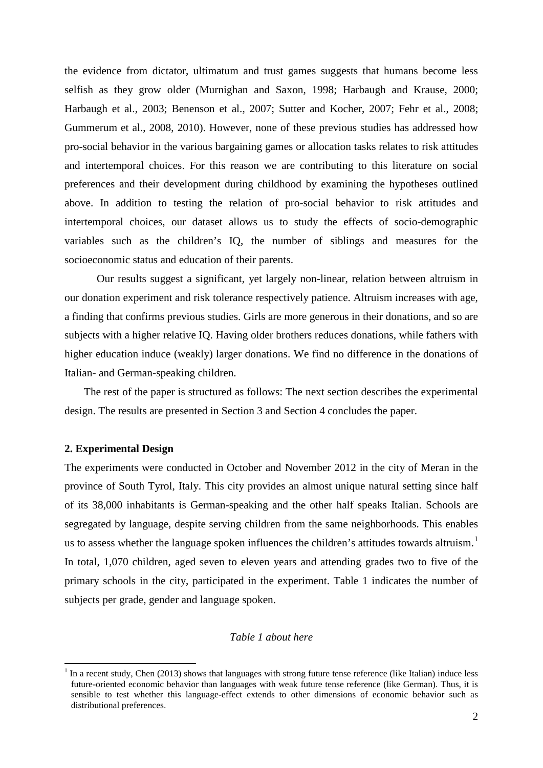the evidence from dictator, ultimatum and trust games suggests that humans become less selfish as they grow older (Murnighan and Saxon, 1998; Harbaugh and Krause, 2000; Harbaugh et al., 2003; Benenson et al., 2007; Sutter and Kocher, 2007; Fehr et al., 2008; Gummerum et al., 2008, 2010). However, none of these previous studies has addressed how pro-social behavior in the various bargaining games or allocation tasks relates to risk attitudes and intertemporal choices. For this reason we are contributing to this literature on social preferences and their development during childhood by examining the hypotheses outlined above. In addition to testing the relation of pro-social behavior to risk attitudes and intertemporal choices, our dataset allows us to study the effects of socio-demographic variables such as the children's IQ, the number of siblings and measures for the socioeconomic status and education of their parents.

Our results suggest a significant, yet largely non-linear, relation between altruism in our donation experiment and risk tolerance respectively patience. Altruism increases with age, a finding that confirms previous studies. Girls are more generous in their donations, and so are subjects with a higher relative IQ. Having older brothers reduces donations, while fathers with higher education induce (weakly) larger donations. We find no difference in the donations of Italian- and German-speaking children.

The rest of the paper is structured as follows: The next section describes the experimental design. The results are presented in Section 3 and Section 4 concludes the paper.

### **2. Experimental Design**

The experiments were conducted in October and November 2012 in the city of Meran in the province of South Tyrol, Italy. This city provides an almost unique natural setting since half of its 38,000 inhabitants is German-speaking and the other half speaks Italian. Schools are segregated by language, despite serving children from the same neighborhoods. This enables us to assess whether the language spoken influences the children's attitudes towards altruism.<sup>1</sup> In total, 1,070 children, aged seven to eleven years and attending grades two to five of the primary schools in the city, participated in the experiment. Table 1 indicates the number of subjects per grade, gender and language spoken.

# *Table 1 about here*

<span id="page-4-0"></span>In a recent study, Chen (2013) shows that languages with strong future tense reference (like Italian) induce less future-oriented economic behavior than languages with weak future tense reference (like German). Thus, it is sensible to test whether this language-effect extends to other dimensions of economic behavior such as distributional preferences.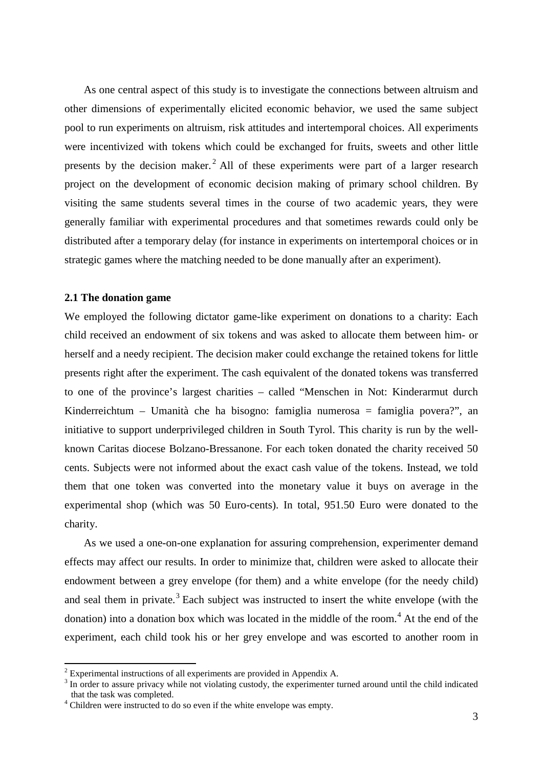As one central aspect of this study is to investigate the connections between altruism and other dimensions of experimentally elicited economic behavior, we used the same subject pool to run experiments on altruism, risk attitudes and intertemporal choices. All experiments were incentivized with tokens which could be exchanged for fruits, sweets and other little presents by the decision maker.<sup>[2](#page-4-0)</sup> All of these experiments were part of a larger research project on the development of economic decision making of primary school children. By visiting the same students several times in the course of two academic years, they were generally familiar with experimental procedures and that sometimes rewards could only be distributed after a temporary delay (for instance in experiments on intertemporal choices or in strategic games where the matching needed to be done manually after an experiment).

# **2.1 The donation game**

We employed the following dictator game-like experiment on donations to a charity: Each child received an endowment of six tokens and was asked to allocate them between him- or herself and a needy recipient. The decision maker could exchange the retained tokens for little presents right after the experiment. The cash equivalent of the donated tokens was transferred to one of the province's largest charities – called "Menschen in Not: Kinderarmut durch Kinderreichtum – Umanità che ha bisogno: famiglia numerosa = famiglia povera?", an initiative to support underprivileged children in South Tyrol. This charity is run by the wellknown Caritas diocese Bolzano-Bressanone. For each token donated the charity received 50 cents. Subjects were not informed about the exact cash value of the tokens. Instead, we told them that one token was converted into the monetary value it buys on average in the experimental shop (which was 50 Euro-cents). In total, 951.50 Euro were donated to the charity.

As we used a one-on-one explanation for assuring comprehension, experimenter demand effects may affect our results. In order to minimize that, children were asked to allocate their endowment between a grey envelope (for them) and a white envelope (for the needy child) and seal them in private.<sup>[3](#page-5-0)</sup> Each subject was instructed to insert the white envelope (with the donation) into a donation box which was located in the middle of the room. [4](#page-5-1) At the end of the experiment, each child took his or her grey envelope and was escorted to another room in

<span id="page-5-2"></span> $2$  Experimental instructions of all experiments are provided in Appendix A.

<span id="page-5-0"></span> $3$  In order to assure privacy while not violating custody, the experimenter turned around until the child indicated that the task was completed.

<span id="page-5-1"></span> $t^4$  Children were instructed to do so even if the white envelope was empty.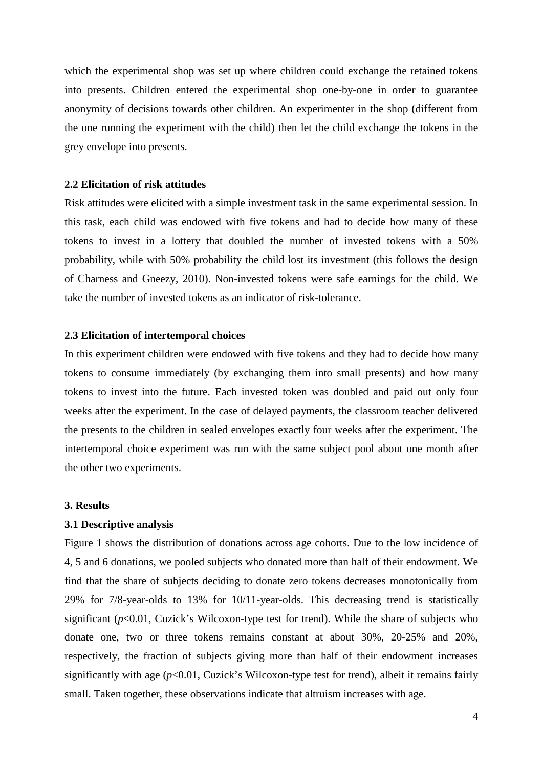which the experimental shop was set up where children could exchange the retained tokens into presents. Children entered the experimental shop one-by-one in order to guarantee anonymity of decisions towards other children. An experimenter in the shop (different from the one running the experiment with the child) then let the child exchange the tokens in the grey envelope into presents.

#### **2.2 Elicitation of risk attitudes**

Risk attitudes were elicited with a simple investment task in the same experimental session. In this task, each child was endowed with five tokens and had to decide how many of these tokens to invest in a lottery that doubled the number of invested tokens with a 50% probability, while with 50% probability the child lost its investment (this follows the design of Charness and Gneezy, 2010). Non-invested tokens were safe earnings for the child. We take the number of invested tokens as an indicator of risk-tolerance.

### **2.3 Elicitation of intertemporal choices**

In this experiment children were endowed with five tokens and they had to decide how many tokens to consume immediately (by exchanging them into small presents) and how many tokens to invest into the future. Each invested token was doubled and paid out only four weeks after the experiment. In the case of delayed payments, the classroom teacher delivered the presents to the children in sealed envelopes exactly four weeks after the experiment. The intertemporal choice experiment was run with the same subject pool about one month after the other two experiments.

#### **3. Results**

#### **3.1 Descriptive analysis**

Figure 1 shows the distribution of donations across age cohorts. Due to the low incidence of 4, 5 and 6 donations, we pooled subjects who donated more than half of their endowment. We find that the share of subjects deciding to donate zero tokens decreases monotonically from 29% for 7/8-year-olds to 13% for 10/11-year-olds. This decreasing trend is statistically significant (*p*<0.01, Cuzick's Wilcoxon-type test for trend). While the share of subjects who donate one, two or three tokens remains constant at about 30%, 20-25% and 20%, respectively, the fraction of subjects giving more than half of their endowment increases significantly with age  $(p<0.01$ , Cuzick's Wilcoxon-type test for trend), albeit it remains fairly small. Taken together, these observations indicate that altruism increases with age.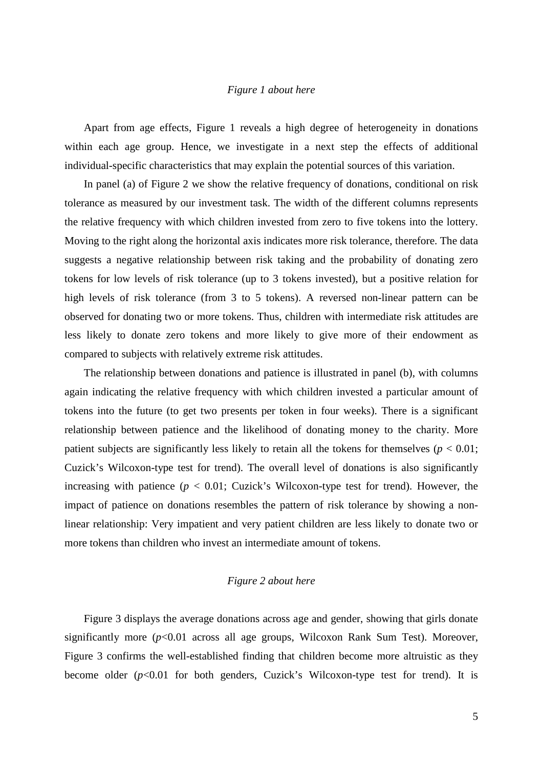# *Figure 1 about here*

Apart from age effects, Figure 1 reveals a high degree of heterogeneity in donations within each age group. Hence, we investigate in a next step the effects of additional individual-specific characteristics that may explain the potential sources of this variation.

In panel (a) of Figure 2 we show the relative frequency of donations, conditional on risk tolerance as measured by our investment task. The width of the different columns represents the relative frequency with which children invested from zero to five tokens into the lottery. Moving to the right along the horizontal axis indicates more risk tolerance, therefore. The data suggests a negative relationship between risk taking and the probability of donating zero tokens for low levels of risk tolerance (up to 3 tokens invested), but a positive relation for high levels of risk tolerance (from 3 to 5 tokens). A reversed non-linear pattern can be observed for donating two or more tokens. Thus, children with intermediate risk attitudes are less likely to donate zero tokens and more likely to give more of their endowment as compared to subjects with relatively extreme risk attitudes.

The relationship between donations and patience is illustrated in panel (b), with columns again indicating the relative frequency with which children invested a particular amount of tokens into the future (to get two presents per token in four weeks). There is a significant relationship between patience and the likelihood of donating money to the charity. More patient subjects are significantly less likely to retain all the tokens for themselves ( $p < 0.01$ ; Cuzick's Wilcoxon-type test for trend). The overall level of donations is also significantly increasing with patience  $(p < 0.01$ ; Cuzick's Wilcoxon-type test for trend). However, the impact of patience on donations resembles the pattern of risk tolerance by showing a nonlinear relationship: Very impatient and very patient children are less likely to donate two or more tokens than children who invest an intermediate amount of tokens.

# *Figure 2 about here*

Figure 3 displays the average donations across age and gender, showing that girls donate significantly more  $(p<0.01$  across all age groups, Wilcoxon Rank Sum Test). Moreover, Figure 3 confirms the well-established finding that children become more altruistic as they become older  $(p<0.01$  for both genders, Cuzick's Wilcoxon-type test for trend). It is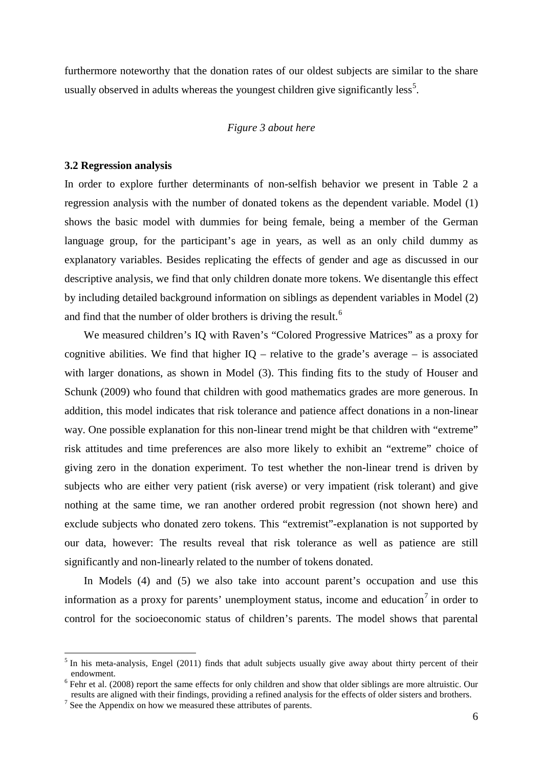furthermore noteworthy that the donation rates of our oldest subjects are similar to the share usually observed in adults whereas the youngest children give significantly less<sup>[5](#page-5-2)</sup>.

### *Figure 3 about here*

### **3.2 Regression analysis**

In order to explore further determinants of non-selfish behavior we present in Table 2 a regression analysis with the number of donated tokens as the dependent variable. Model (1) shows the basic model with dummies for being female, being a member of the German language group, for the participant's age in years, as well as an only child dummy as explanatory variables. Besides replicating the effects of gender and age as discussed in our descriptive analysis, we find that only children donate more tokens. We disentangle this effect by including detailed background information on siblings as dependent variables in Model (2) and find that the number of older brothers is driving the result.<sup>[6](#page-8-0)</sup>

We measured children's IQ with Raven's "Colored Progressive Matrices" as a proxy for cognitive abilities. We find that higher  $IQ$  – relative to the grade's average – is associated with larger donations, as shown in Model (3). This finding fits to the study of Houser and Schunk (2009) who found that children with good mathematics grades are more generous. In addition, this model indicates that risk tolerance and patience affect donations in a non-linear way. One possible explanation for this non-linear trend might be that children with "extreme" risk attitudes and time preferences are also more likely to exhibit an "extreme" choice of giving zero in the donation experiment. To test whether the non-linear trend is driven by subjects who are either very patient (risk averse) or very impatient (risk tolerant) and give nothing at the same time, we ran another ordered probit regression (not shown here) and exclude subjects who donated zero tokens. This "extremist"-explanation is not supported by our data, however: The results reveal that risk tolerance as well as patience are still significantly and non-linearly related to the number of tokens donated.

In Models (4) and (5) we also take into account parent's occupation and use this information as a proxy for parents' unemployment status, income and education<sup>[7](#page-8-1)</sup> in order to control for the socioeconomic status of children's parents. The model shows that parental

<span id="page-8-2"></span> $<sup>5</sup>$  In his meta-analysis, Engel (2011) finds that adult subjects usually give away about thirty percent of their endowment.</sup>

<span id="page-8-0"></span> $6$  Fehr et al. (2008) report the same effects for only children and show that older siblings are more altruistic. Our results are aligned with their findings, providing a refined analysis for the effects of older sisters and brothers. <sup>7</sup> See the Appendix on how we measured these attributes of parents.

<span id="page-8-1"></span>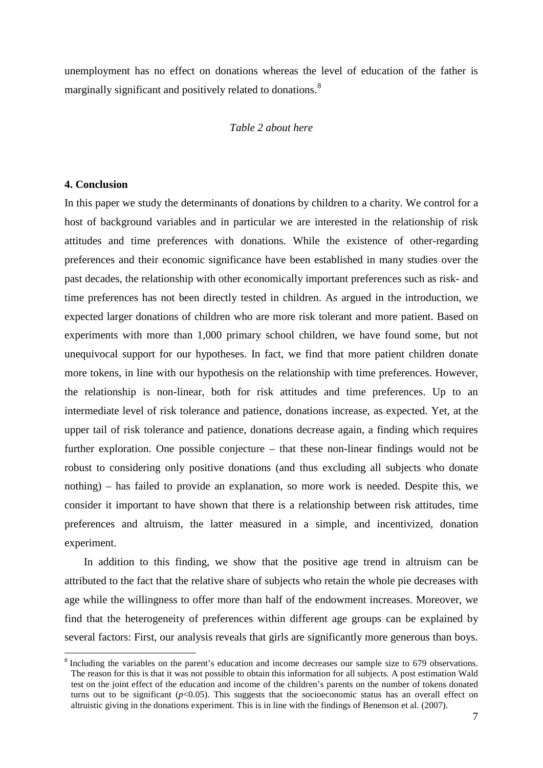unemployment has no effect on donations whereas the level of education of the father is marginally significant and positively related to donations.<sup>[8](#page-8-2)</sup>

# *Table 2 about here*

### **4. Conclusion**

In this paper we study the determinants of donations by children to a charity. We control for a host of background variables and in particular we are interested in the relationship of risk attitudes and time preferences with donations. While the existence of other-regarding preferences and their economic significance have been established in many studies over the past decades, the relationship with other economically important preferences such as risk- and time preferences has not been directly tested in children. As argued in the introduction, we expected larger donations of children who are more risk tolerant and more patient. Based on experiments with more than 1,000 primary school children, we have found some, but not unequivocal support for our hypotheses. In fact, we find that more patient children donate more tokens, in line with our hypothesis on the relationship with time preferences. However, the relationship is non-linear, both for risk attitudes and time preferences. Up to an intermediate level of risk tolerance and patience, donations increase, as expected. Yet, at the upper tail of risk tolerance and patience, donations decrease again, a finding which requires further exploration. One possible conjecture – that these non-linear findings would not be robust to considering only positive donations (and thus excluding all subjects who donate nothing) – has failed to provide an explanation, so more work is needed. Despite this, we consider it important to have shown that there is a relationship between risk attitudes, time preferences and altruism, the latter measured in a simple, and incentivized, donation experiment.

In addition to this finding, we show that the positive age trend in altruism can be attributed to the fact that the relative share of subjects who retain the whole pie decreases with age while the willingness to offer more than half of the endowment increases. Moreover, we find that the heterogeneity of preferences within different age groups can be explained by several factors: First, our analysis reveals that girls are significantly more generous than boys.

<sup>&</sup>lt;sup>8</sup> Including the variables on the parent's education and income decreases our sample size to 679 observations. The reason for this is that it was not possible to obtain this information for all subjects. A post estimation Wald test on the joint effect of the education and income of the children's parents on the number of tokens donated turns out to be significant  $(p<0.05)$ . This suggests that the socioeconomic status has an overall effect on altruistic giving in the donations experiment. This is in line with the findings of Benenson et al. (2007).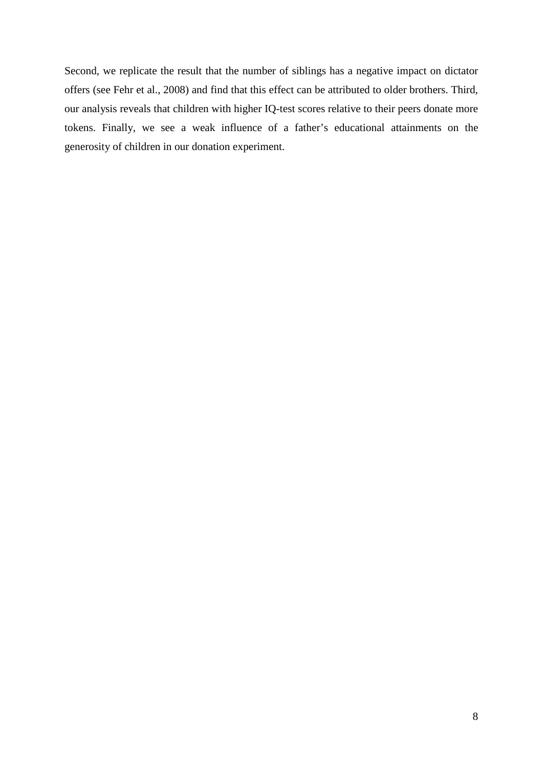Second, we replicate the result that the number of siblings has a negative impact on dictator offers (see Fehr et al., 2008) and find that this effect can be attributed to older brothers. Third, our analysis reveals that children with higher IQ-test scores relative to their peers donate more tokens. Finally, we see a weak influence of a father's educational attainments on the generosity of children in our donation experiment.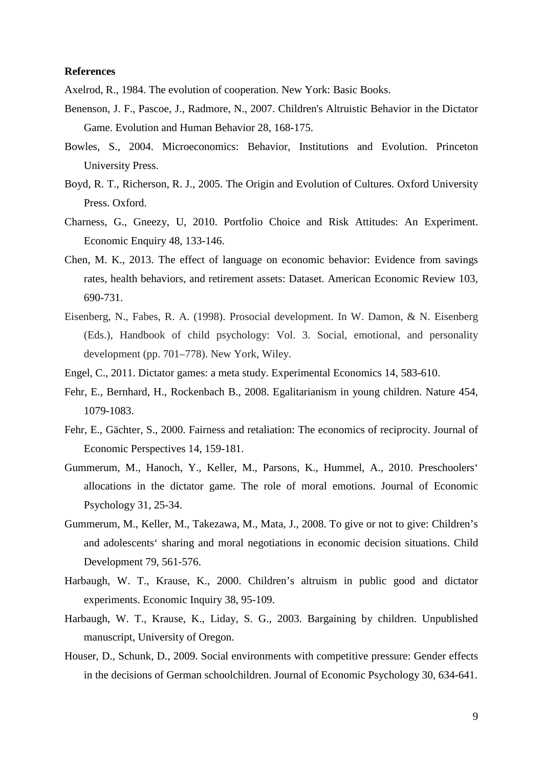### **References**

Axelrod, R., 1984. The evolution of cooperation. New York: Basic Books.

- Benenson, J. F., Pascoe, J., Radmore, N., 2007. Children's Altruistic Behavior in the Dictator Game. Evolution and Human Behavior 28, 168-175.
- Bowles, S., 2004. Microeconomics: Behavior, Institutions and Evolution. Princeton University Press.
- Boyd, R. T., Richerson, R. J., 2005. The Origin and Evolution of Cultures. Oxford University Press. Oxford.
- Charness, G., Gneezy, U, 2010. Portfolio Choice and Risk Attitudes: An Experiment. Economic Enquiry 48, 133-146.
- Chen, M. K., 2013. The effect of language on economic behavior: Evidence from savings rates, health behaviors, and retirement assets: Dataset. American Economic Review 103, 690-731.
- Eisenberg, N., Fabes, R. A. (1998). Prosocial development. In W. Damon, & N. Eisenberg (Eds.), Handbook of child psychology: Vol. 3. Social, emotional, and personality development (pp. 701–778). New York, Wiley.
- Engel, C., 2011. Dictator games: a meta study. Experimental Economics 14, 583-610.
- Fehr, E., Bernhard, H., Rockenbach B., 2008. Egalitarianism in young children. Nature 454, 1079-1083.
- Fehr, E., Gächter, S., 2000. Fairness and retaliation: The economics of reciprocity. Journal of Economic Perspectives 14, 159-181.
- Gummerum, M., Hanoch, Y., Keller, M., Parsons, K., Hummel, A., 2010. Preschoolers' allocations in the dictator game. The role of moral emotions. Journal of Economic Psychology 31, 25-34.
- Gummerum, M., Keller, M., Takezawa, M., Mata, J., 2008. To give or not to give: Children's and adolescents' sharing and moral negotiations in economic decision situations. Child Development 79, 561-576.
- Harbaugh, W. T., Krause, K., 2000. Children's altruism in public good and dictator experiments. Economic Inquiry 38, 95-109.
- Harbaugh, W. T., Krause, K., Liday, S. G., 2003. Bargaining by children. Unpublished manuscript, University of Oregon.
- Houser, D., Schunk, D., 2009. Social environments with competitive pressure: Gender effects in the decisions of German schoolchildren. Journal of Economic Psychology 30, 634-641.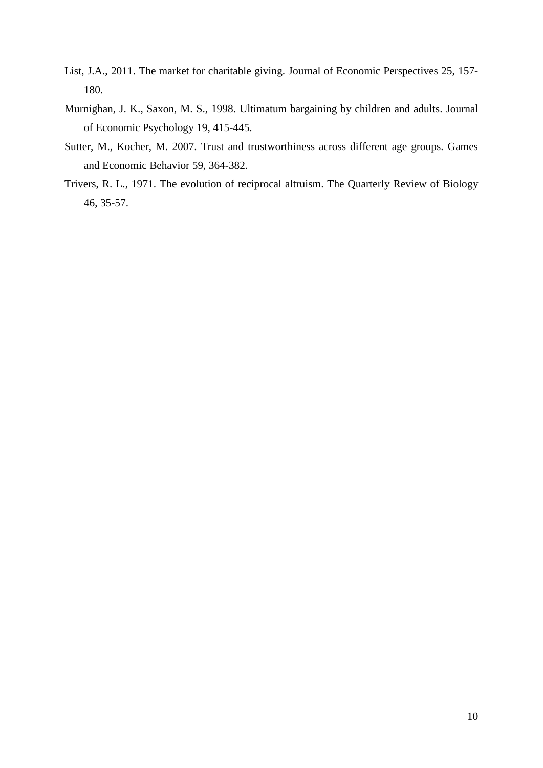- List, J.A., 2011. The market for charitable giving. Journal of Economic Perspectives 25, 157- 180.
- Murnighan, J. K., Saxon, M. S., 1998. Ultimatum bargaining by children and adults. Journal of Economic Psychology 19, 415-445.
- Sutter, M., Kocher, M. 2007. Trust and trustworthiness across different age groups. Games and Economic Behavior 59, 364-382.
- Trivers, R. L., 1971. The evolution of reciprocal altruism. The Quarterly Review of Biology 46, 35-57.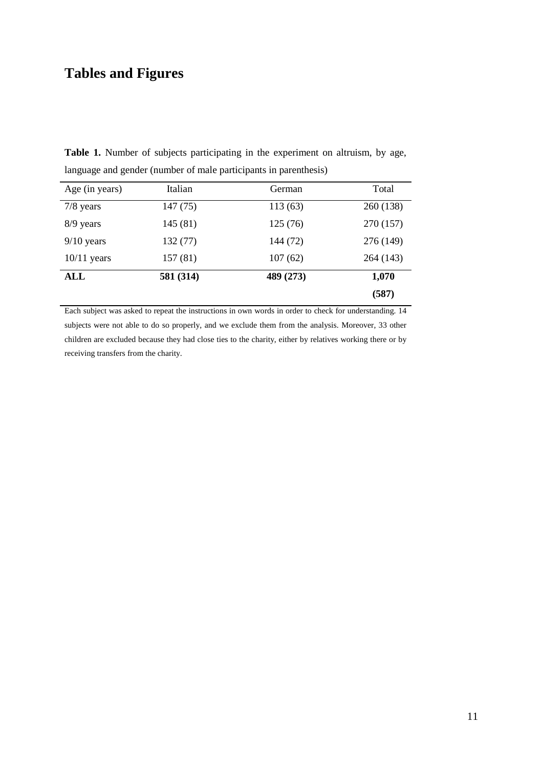# **Tables and Figures**

**Table 1.** Number of subjects participating in the experiment on altruism, by age, language and gender (number of male participants in parenthesis)

| Age (in years) | Italian   | German    | Total     |
|----------------|-----------|-----------|-----------|
| $7/8$ years    | 147 (75)  | 113(63)   | 260 (138) |
| $8/9$ years    | 145(81)   | 125(76)   | 270 (157) |
| $9/10$ years   | 132 (77)  | 144 (72)  | 276 (149) |
| $10/11$ years  | 157(81)   | 107(62)   | 264 (143) |
| ALL            | 581 (314) | 489 (273) | 1,070     |
|                |           |           | (587)     |

Each subject was asked to repeat the instructions in own words in order to check for understanding. 14 subjects were not able to do so properly, and we exclude them from the analysis. Moreover, 33 other children are excluded because they had close ties to the charity, either by relatives working there or by receiving transfers from the charity.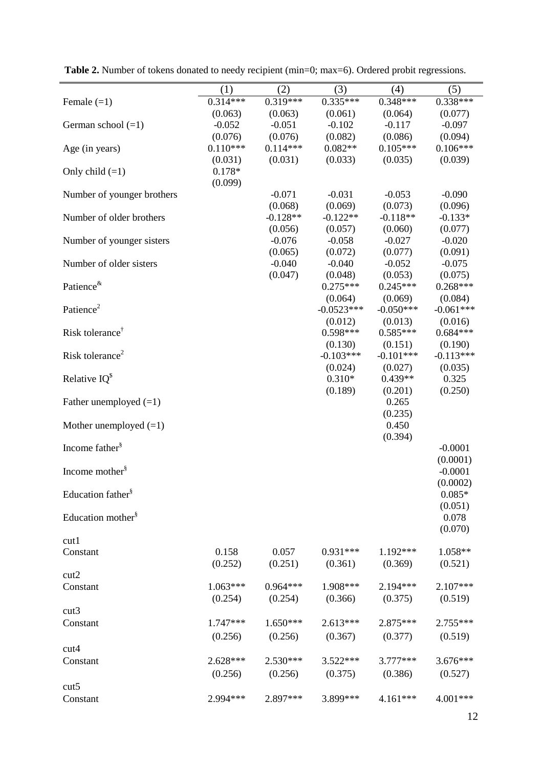|                               | (1)        | (2)        | (3)          | (4)         | (5)                   |
|-------------------------------|------------|------------|--------------|-------------|-----------------------|
| Female $(=1)$                 | $0.314***$ | $0.319***$ | $0.335***$   | $0.348***$  | $0.338***$            |
|                               | (0.063)    | (0.063)    | (0.061)      | (0.064)     | (0.077)               |
| German school $(=1)$          | $-0.052$   | $-0.051$   | $-0.102$     | $-0.117$    | $-0.097$              |
|                               | (0.076)    | (0.076)    | (0.082)      | (0.086)     | (0.094)               |
| Age (in years)                | $0.110***$ | $0.114***$ | $0.082**$    | $0.105***$  | $0.106***$            |
|                               | (0.031)    | (0.031)    | (0.033)      | (0.035)     | (0.039)               |
| Only child $(=1)$             | $0.178*$   |            |              |             |                       |
|                               | (0.099)    |            |              |             |                       |
| Number of younger brothers    |            | $-0.071$   | $-0.031$     | $-0.053$    | $-0.090$              |
|                               |            | (0.068)    | (0.069)      | (0.073)     | (0.096)               |
| Number of older brothers      |            | $-0.128**$ | $-0.122**$   | $-0.118**$  | $-0.133*$             |
|                               |            | (0.056)    | (0.057)      | (0.060)     | (0.077)               |
| Number of younger sisters     |            | $-0.076$   | $-0.058$     | $-0.027$    | $-0.020$              |
|                               |            | (0.065)    | (0.072)      | (0.077)     | (0.091)               |
| Number of older sisters       |            | $-0.040$   | $-0.040$     | $-0.052$    | $-0.075$              |
|                               |            | (0.047)    | (0.048)      | (0.053)     | (0.075)               |
| Patience <sup>&amp;</sup>     |            |            | $0.275***$   | $0.245***$  | $0.268***$            |
|                               |            |            | (0.064)      | (0.069)     | (0.084)               |
| Patience <sup>2</sup>         |            |            | $-0.0523***$ | $-0.050***$ | $-0.061***$           |
|                               |            |            | (0.012)      | (0.013)     | (0.016)               |
| Risk tolerance <sup>†</sup>   |            |            | $0.598***$   | $0.585***$  | $0.684***$            |
|                               |            |            | (0.130)      | (0.151)     | (0.190)               |
| Risk tolerance <sup>2</sup>   |            |            | $-0.103***$  | $-0.101***$ | $-0.113***$           |
|                               |            |            | (0.024)      | (0.027)     | (0.035)               |
| Relative $IQ^s$               |            |            | $0.310*$     | $0.439**$   | 0.325                 |
|                               |            |            | (0.189)      | (0.201)     | (0.250)               |
| Father unemployed $(=1)$      |            |            |              | 0.265       |                       |
|                               |            |            |              | (0.235)     |                       |
| Mother unemployed $(=1)$      |            |            |              | 0.450       |                       |
| Income father <sup>§</sup>    |            |            |              | (0.394)     |                       |
|                               |            |            |              |             | $-0.0001$             |
| Income mother <sup>§</sup>    |            |            |              |             | (0.0001)<br>$-0.0001$ |
|                               |            |            |              |             | (0.0002)              |
| Education father <sup>§</sup> |            |            |              |             | $0.085*$              |
|                               |            |            |              |             | (0.051)               |
| Education mother <sup>§</sup> |            |            |              |             | 0.078                 |
|                               |            |            |              |             | (0.070)               |
| cut1                          |            |            |              |             |                       |
| Constant                      | 0.158      | 0.057      | $0.931***$   | 1.192***    | 1.058**               |
|                               | (0.252)    | (0.251)    | (0.361)      | (0.369)     | (0.521)               |
| cut2                          |            |            |              |             |                       |
| Constant                      | $1.063***$ | $0.964***$ | 1.908***     | 2.194***    | 2.107***              |
|                               | (0.254)    | (0.254)    | (0.366)      | (0.375)     | (0.519)               |
| cut3                          |            |            |              |             |                       |
|                               | 1.747***   | $1.650***$ | $2.613***$   | 2.875***    | 2.755***              |
| Constant                      |            |            |              |             |                       |
|                               | (0.256)    | (0.256)    | (0.367)      | (0.377)     | (0.519)               |
| cut4                          |            |            |              |             |                       |
| Constant                      | $2.628***$ | $2.530***$ | 3.522***     | 3.777***    | 3.676***              |
|                               | (0.256)    | (0.256)    | (0.375)      | (0.386)     | (0.527)               |
| cut <sub>5</sub>              |            |            |              |             |                       |
| Constant                      | 2.994 ***  | 2.897***   | 3.899***     | $4.161***$  | 4.001***              |

Table 2. Number of tokens donated to needy recipient (min=0; max=6). Ordered probit regressions.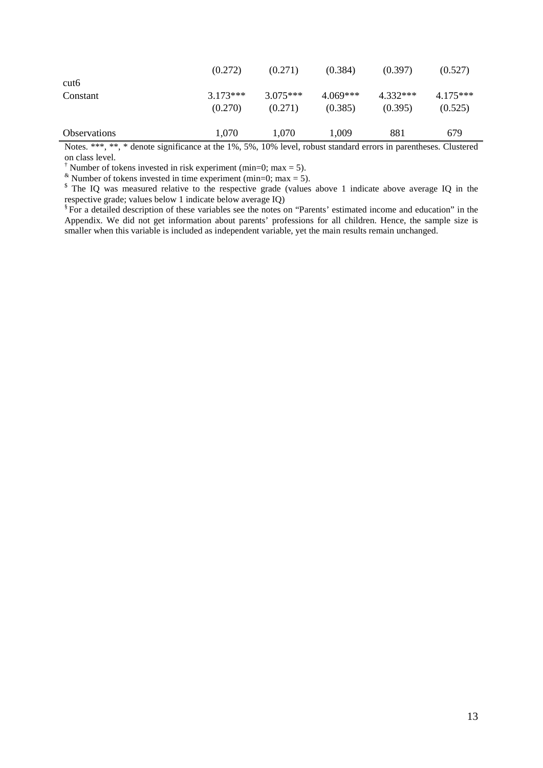|                     | (0.272)    | (0.271)    | (0.384)    | (0.397)    | (0.527)    |
|---------------------|------------|------------|------------|------------|------------|
| cut <sub>6</sub>    |            |            |            |            |            |
| Constant            | $3.173***$ | $3.075***$ | $4.069***$ | $4.332***$ | $4.175***$ |
|                     | (0.270)    | (0.271)    | (0.385)    | (0.395)    | (0.525)    |
| <b>Observations</b> | 1,070      | 1,070      | 1,009      | 881        | 679        |
|                     |            |            |            |            |            |

Notes. \*\*\*, \*\*, \* denote significance at the 1%, 5%, 10% level, robust standard errors in parentheses. Clustered on class level.

<sup> $\dagger$ </sup> Number of tokens invested in risk experiment (min=0; max = 5).

Number of tokens invested in time experiment (min=0; max = 5).

<sup>\$</sup> The IQ was measured relative to the respective grade (values above 1 indicate above average IQ in the respective grade; values below 1 indicate below average IQ)

<sup>§</sup> For a detailed description of these variables see the notes on "Parents' estimated income and education" in the Appendix. We did not get information about parents' professions for all children. Hence, the sample size is smaller when this variable is included as independent variable, yet the main results remain unchanged.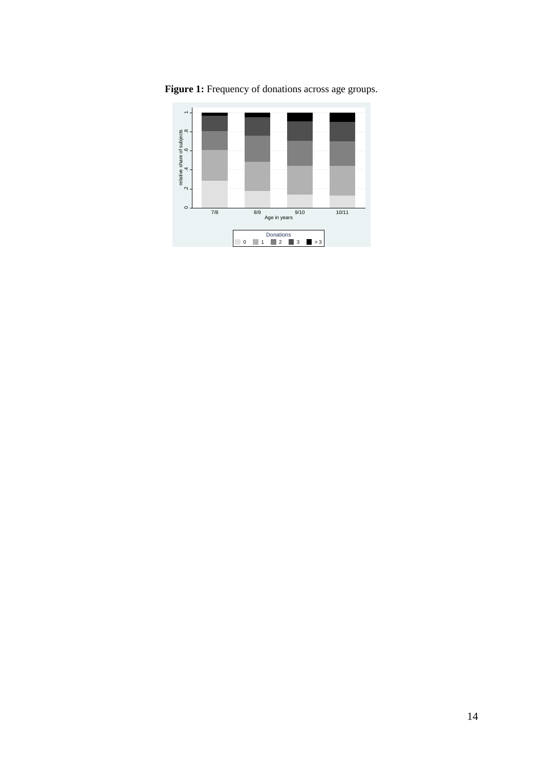

Figure 1: Frequency of donations across age groups.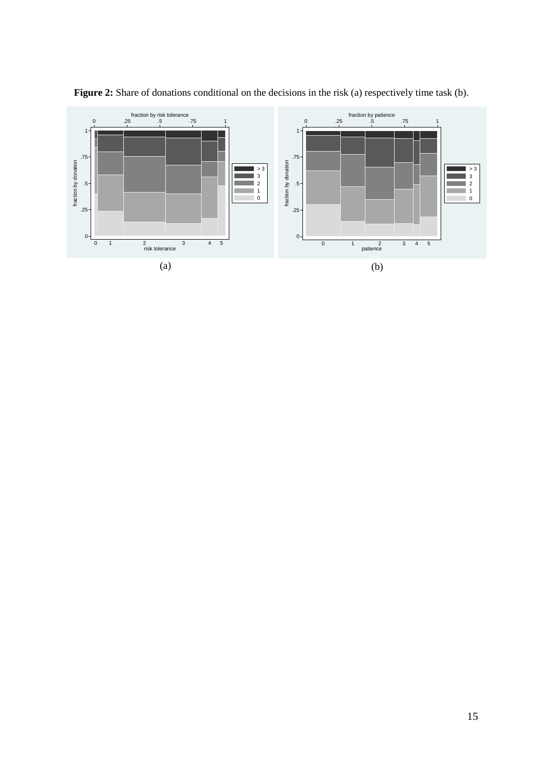

Figure 2: Share of donations conditional on the decisions in the risk (a) respectively time task (b).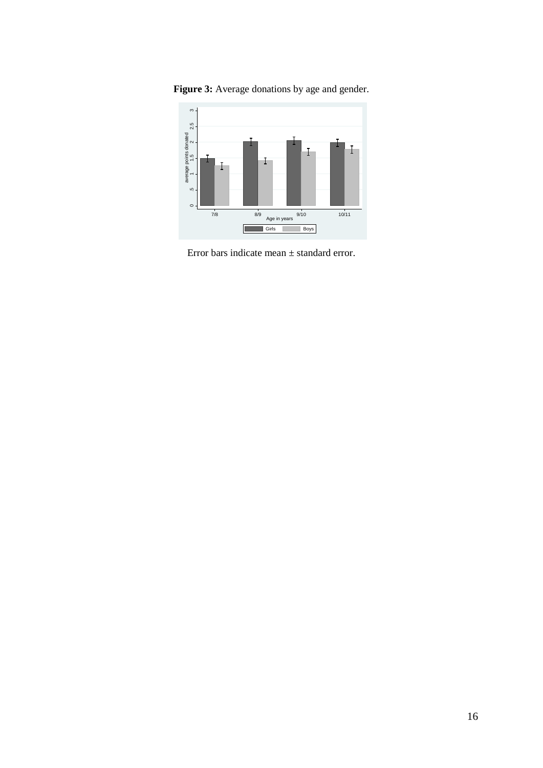

Figure 3: Average donations by age and gender.

Error bars indicate mean ± standard error.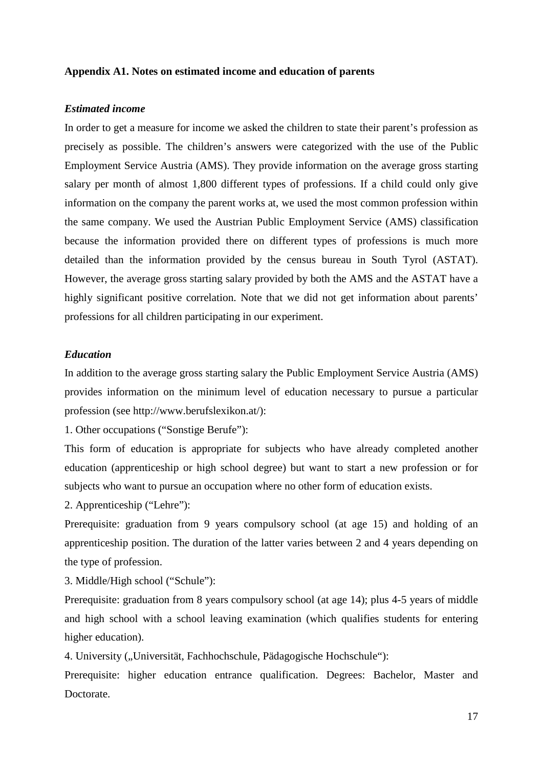### **Appendix A1. Notes on estimated income and education of parents**

# *Estimated income*

In order to get a measure for income we asked the children to state their parent's profession as precisely as possible. The children's answers were categorized with the use of the Public Employment Service Austria (AMS). They provide information on the average gross starting salary per month of almost 1,800 different types of professions. If a child could only give information on the company the parent works at, we used the most common profession within the same company. We used the Austrian Public Employment Service (AMS) classification because the information provided there on different types of professions is much more detailed than the information provided by the census bureau in South Tyrol (ASTAT). However, the average gross starting salary provided by both the AMS and the ASTAT have a highly significant positive correlation. Note that we did not get information about parents' professions for all children participating in our experiment.

# *Education*

In addition to the average gross starting salary the Public Employment Service Austria (AMS) provides information on the minimum level of education necessary to pursue a particular profession (see http://www.berufslexikon.at/):

1. Other occupations ("Sonstige Berufe"):

This form of education is appropriate for subjects who have already completed another education (apprenticeship or high school degree) but want to start a new profession or for subjects who want to pursue an occupation where no other form of education exists.

2. Apprenticeship ("Lehre"):

Prerequisite: graduation from 9 years compulsory school (at age 15) and holding of an apprenticeship position. The duration of the latter varies between 2 and 4 years depending on the type of profession.

3. Middle/High school ("Schule"):

Prerequisite: graduation from 8 years compulsory school (at age 14); plus 4-5 years of middle and high school with a school leaving examination (which qualifies students for entering higher education).

4. University ("Universität, Fachhochschule, Pädagogische Hochschule"):

Prerequisite: higher education entrance qualification. Degrees: Bachelor, Master and Doctorate.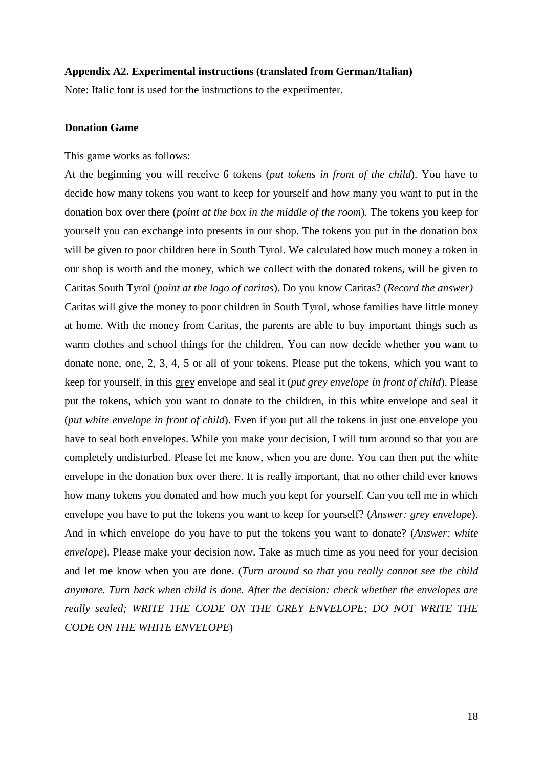### **Appendix A2. Experimental instructions (translated from German/Italian)**

Note: Italic font is used for the instructions to the experimenter.

### **Donation Game**

#### This game works as follows:

At the beginning you will receive 6 tokens (*put tokens in front of the child*). You have to decide how many tokens you want to keep for yourself and how many you want to put in the donation box over there (*point at the box in the middle of the room*). The tokens you keep for yourself you can exchange into presents in our shop. The tokens you put in the donation box will be given to poor children here in South Tyrol. We calculated how much money a token in our shop is worth and the money, which we collect with the donated tokens, will be given to Caritas South Tyrol (*point at the logo of caritas*). Do you know Caritas? (*Record the answer)* Caritas will give the money to poor children in South Tyrol, whose families have little money at home. With the money from Caritas, the parents are able to buy important things such as warm clothes and school things for the children. You can now decide whether you want to donate none, one, 2, 3, 4, 5 or all of your tokens. Please put the tokens, which you want to keep for yourself, in this grey envelope and seal it (*put grey envelope in front of child*). Please put the tokens, which you want to donate to the children, in this white envelope and seal it (*put white envelope in front of child*). Even if you put all the tokens in just one envelope you have to seal both envelopes. While you make your decision, I will turn around so that you are completely undisturbed. Please let me know, when you are done. You can then put the white envelope in the donation box over there. It is really important, that no other child ever knows how many tokens you donated and how much you kept for yourself. Can you tell me in which envelope you have to put the tokens you want to keep for yourself? (*Answer: grey envelope*). And in which envelope do you have to put the tokens you want to donate? (*Answer: white envelope*). Please make your decision now. Take as much time as you need for your decision and let me know when you are done. (*Turn around so that you really cannot see the child anymore. Turn back when child is done. After the decision: check whether the envelopes are really sealed; WRITE THE CODE ON THE GREY ENVELOPE; DO NOT WRITE THE CODE ON THE WHITE ENVELOPE*)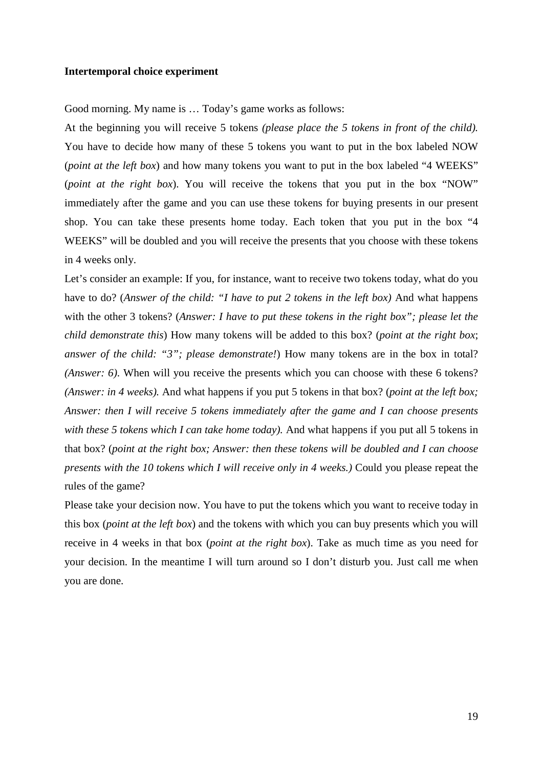### **Intertemporal choice experiment**

Good morning. My name is … Today's game works as follows:

At the beginning you will receive 5 tokens *(please place the 5 tokens in front of the child).*  You have to decide how many of these 5 tokens you want to put in the box labeled NOW (*point at the left box*) and how many tokens you want to put in the box labeled "4 WEEKS" (*point at the right box*). You will receive the tokens that you put in the box "NOW" immediately after the game and you can use these tokens for buying presents in our present shop. You can take these presents home today. Each token that you put in the box "4 WEEKS" will be doubled and you will receive the presents that you choose with these tokens in 4 weeks only.

Let's consider an example: If you, for instance, want to receive two tokens today, what do you have to do? (*Answer of the child: "I have to put 2 tokens in the left box*) And what happens with the other 3 tokens? (*Answer: I have to put these tokens in the right box"; please let the child demonstrate this*) How many tokens will be added to this box? (*point at the right box*; *answer of the child: "3"; please demonstrate!*) How many tokens are in the box in total? *(Answer: 6)*. When will you receive the presents which you can choose with these 6 tokens? *(Answer: in 4 weeks).* And what happens if you put 5 tokens in that box? (*point at the left box; Answer: then I will receive 5 tokens immediately after the game and I can choose presents with these 5 tokens which I can take home today).* And what happens if you put all 5 tokens in that box? (*point at the right box; Answer: then these tokens will be doubled and I can choose presents with the 10 tokens which I will receive only in 4 weeks.)* Could you please repeat the rules of the game?

Please take your decision now. You have to put the tokens which you want to receive today in this box (*point at the left box*) and the tokens with which you can buy presents which you will receive in 4 weeks in that box (*point at the right box*). Take as much time as you need for your decision. In the meantime I will turn around so I don't disturb you. Just call me when you are done.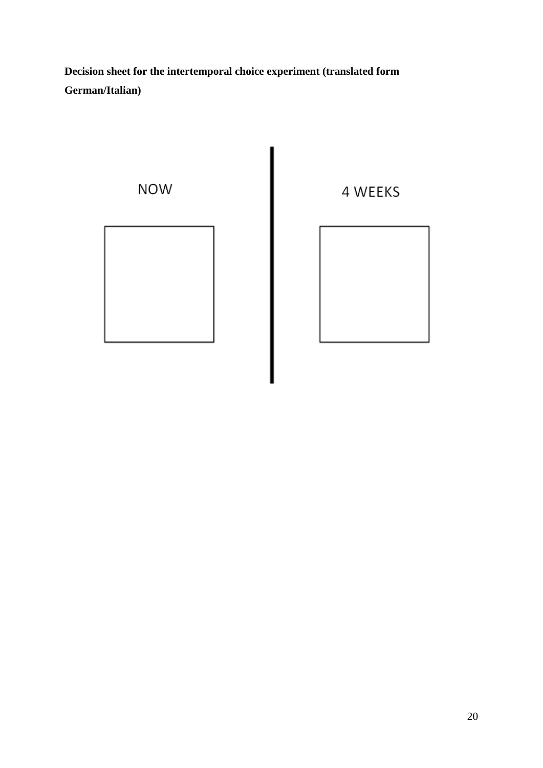**Decision sheet for the intertemporal choice experiment (translated form German/Italian)**

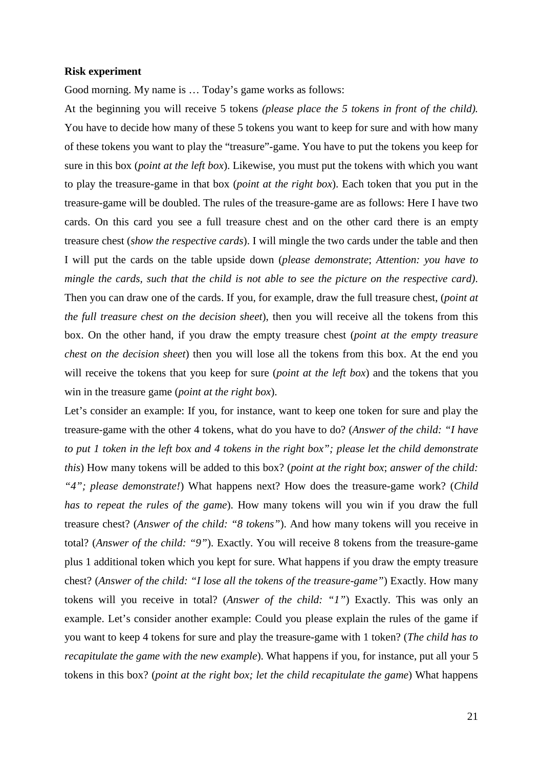### **Risk experiment**

Good morning. My name is … Today's game works as follows:

At the beginning you will receive 5 tokens *(please place the 5 tokens in front of the child).*  You have to decide how many of these 5 tokens you want to keep for sure and with how many of these tokens you want to play the "treasure"-game. You have to put the tokens you keep for sure in this box (*point at the left box*). Likewise, you must put the tokens with which you want to play the treasure-game in that box (*point at the right box*). Each token that you put in the treasure-game will be doubled. The rules of the treasure-game are as follows: Here I have two cards. On this card you see a full treasure chest and on the other card there is an empty treasure chest (*show the respective cards*). I will mingle the two cards under the table and then I will put the cards on the table upside down (*please demonstrate*; *Attention: you have to mingle the cards, such that the child is not able to see the picture on the respective card)*. Then you can draw one of the cards. If you, for example, draw the full treasure chest, (*point at the full treasure chest on the decision sheet*), then you will receive all the tokens from this box. On the other hand, if you draw the empty treasure chest (*point at the empty treasure chest on the decision sheet*) then you will lose all the tokens from this box. At the end you will receive the tokens that you keep for sure (*point at the left box*) and the tokens that you win in the treasure game (*point at the right box*).

Let's consider an example: If you, for instance, want to keep one token for sure and play the treasure-game with the other 4 tokens, what do you have to do? (*Answer of the child: "I have to put 1 token in the left box and 4 tokens in the right box"; please let the child demonstrate this*) How many tokens will be added to this box? (*point at the right box*; *answer of the child: "4"; please demonstrate!*) What happens next? How does the treasure-game work? (*Child has to repeat the rules of the game*). How many tokens will you win if you draw the full treasure chest? (*Answer of the child: "8 tokens"*). And how many tokens will you receive in total? (*Answer of the child: "9"*). Exactly. You will receive 8 tokens from the treasure-game plus 1 additional token which you kept for sure. What happens if you draw the empty treasure chest? (*Answer of the child: "I lose all the tokens of the treasure-game"*) Exactly. How many tokens will you receive in total? (*Answer of the child: "1"*) Exactly. This was only an example. Let's consider another example: Could you please explain the rules of the game if you want to keep 4 tokens for sure and play the treasure-game with 1 token? (*The child has to recapitulate the game with the new example*). What happens if you, for instance, put all your 5 tokens in this box? (*point at the right box; let the child recapitulate the game*) What happens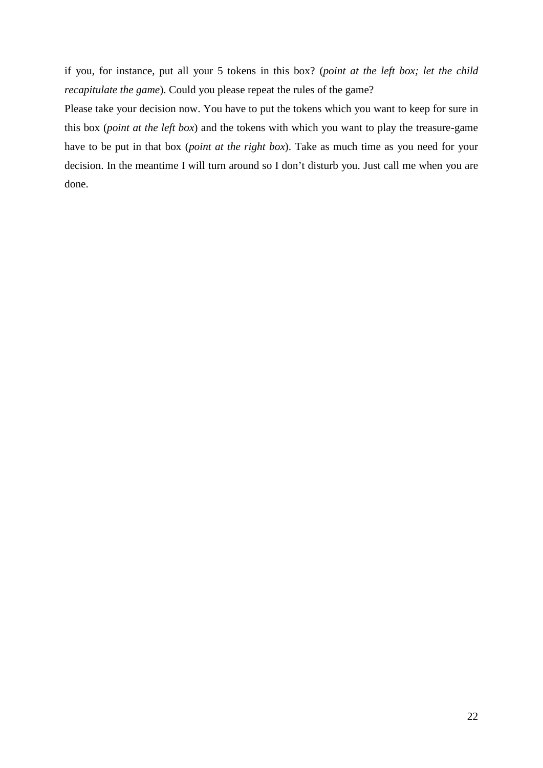if you, for instance, put all your 5 tokens in this box? (*point at the left box; let the child recapitulate the game*). Could you please repeat the rules of the game?

Please take your decision now. You have to put the tokens which you want to keep for sure in this box (*point at the left box*) and the tokens with which you want to play the treasure-game have to be put in that box (*point at the right box*). Take as much time as you need for your decision. In the meantime I will turn around so I don't disturb you. Just call me when you are done.